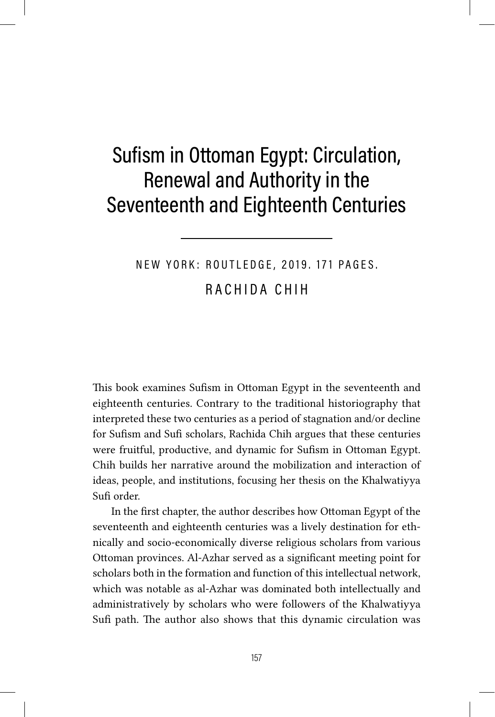## Sufism in Ottoman Egypt: Circulation, Renewal and Authority in the Seventeenth and Eighteenth Centuries

## NEW YORK: ROUTLEDGE, 2019. 171 PAGES. RACHIDA CHIH

This book examines Sufism in Ottoman Egypt in the seventeenth and eighteenth centuries. Contrary to the traditional historiography that interpreted these two centuries as a period of stagnation and/or decline for Sufism and Sufi scholars, Rachida Chih argues that these centuries were fruitful, productive, and dynamic for Sufism in Ottoman Egypt. Chih builds her narrative around the mobilization and interaction of ideas, people, and institutions, focusing her thesis on the Khalwatiyya Sufi order.

In the first chapter, the author describes how Ottoman Egypt of the seventeenth and eighteenth centuries was a lively destination for ethnically and socio-economically diverse religious scholars from various Ottoman provinces. Al-Azhar served as a significant meeting point for scholars both in the formation and function of this intellectual network, which was notable as al-Azhar was dominated both intellectually and administratively by scholars who were followers of the Khalwatiyya Sufi path. The author also shows that this dynamic circulation was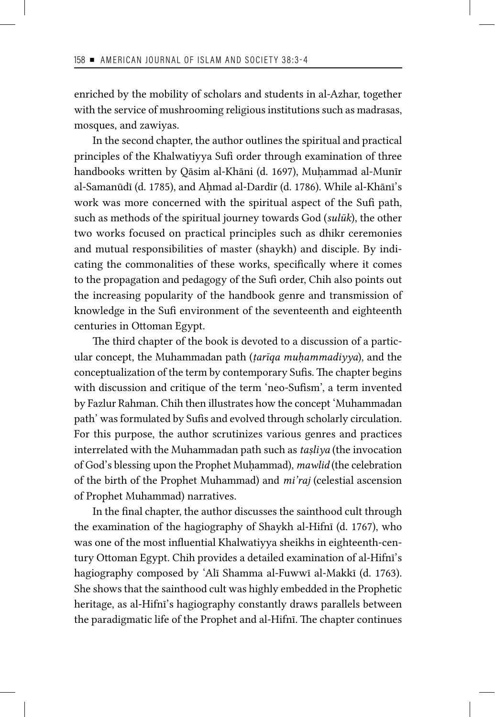enriched by the mobility of scholars and students in al-Azhar, together with the service of mushrooming religious institutions such as madrasas, mosques, and zawiyas.

In the second chapter, the author outlines the spiritual and practical principles of the Khalwatiyya Sufi order through examination of three handbooks written by Qāsim al-Khāni (d. 1697), Muḥammad al-Munīr al-Samanūdī (d. 1785), and Aḥmad al-Dardīr (d. 1786). While al-Khānī's work was more concerned with the spiritual aspect of the Sufi path, such as methods of the spiritual journey towards God (*sulūk*), the other two works focused on practical principles such as dhikr ceremonies and mutual responsibilities of master (shaykh) and disciple. By indicating the commonalities of these works, specifically where it comes to the propagation and pedagogy of the Sufi order, Chih also points out the increasing popularity of the handbook genre and transmission of knowledge in the Sufi environment of the seventeenth and eighteenth centuries in Ottoman Egypt.

The third chapter of the book is devoted to a discussion of a particular concept, the Muhammadan path (*ṭarīqa muḥammadiyya*), and the conceptualization of the term by contemporary Sufis. The chapter begins with discussion and critique of the term 'neo-Sufism', a term invented by Fazlur Rahman. Chih then illustrates how the concept 'Muhammadan path' was formulated by Sufis and evolved through scholarly circulation. For this purpose, the author scrutinizes various genres and practices interrelated with the Muhammadan path such as *taṣliya* (the invocation of God's blessing upon the Prophet Muḥammad), *mawlid* (the celebration of the birth of the Prophet Muhammad) and *mi'raj* (celestial ascension of Prophet Muhammad) narratives.

In the final chapter, the author discusses the sainthood cult through the examination of the hagiography of Shaykh al-Hifnī (d. 1767), who was one of the most influential Khalwatiyya sheikhs in eighteenth-century Ottoman Egypt. Chih provides a detailed examination of al-Hifnī's hagiography composed by 'Alī Shamma al-Fuwwī al-Makkī (d. 1763). She shows that the sainthood cult was highly embedded in the Prophetic heritage, as al-Hifnī's hagiography constantly draws parallels between the paradigmatic life of the Prophet and al-Hifnī. The chapter continues